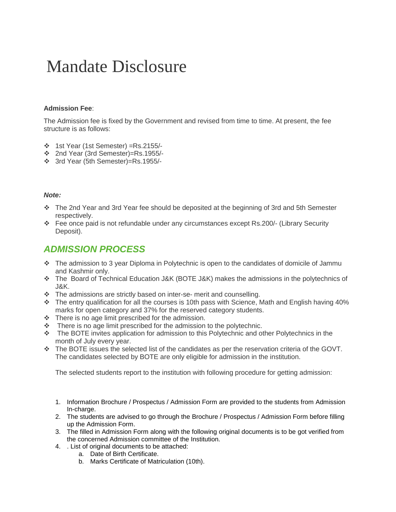## Mandate Disclosure

## **Admission Fee**:

The Admission fee is fixed by the Government and revised from time to time. At present, the fee structure is as follows:

- 1st Year (1st Semester) =Rs.2155/-
- 2nd Year (3rd Semester)=Rs.1955/-
- 3rd Year (5th Semester)=Rs.1955/-

## *Note:*

- The 2nd Year and 3rd Year fee should be deposited at the beginning of 3rd and 5th Semester respectively.
- Fee once paid is not refundable under any circumstances except Rs.200/- (Library Security Deposit).

## *ADMISSION PROCESS*

- \* The admission to 3 year Diploma in Polytechnic is open to the candidates of domicile of Jammu and Kashmir only.
- The Board of Technical Education J&K (BOTE J&K) makes the admissions in the polytechnics of J&K.
- \* The admissions are strictly based on inter-se- merit and counselling.
- The entry qualification for all the courses is 10th pass with Science, Math and English having 40% marks for open category and 37% for the reserved category students.
- $\div$  There is no age limit prescribed for the admission.
- $\cdot \cdot$  There is no age limit prescribed for the admission to the polytechnic.
- The BOTE invites application for admission to this Polytechnic and other Polytechnics in the month of July every year.
- \* The BOTE issues the selected list of the candidates as per the reservation criteria of the GOVT. The candidates selected by BOTE are only eligible for admission in the institution.

The selected students report to the institution with following procedure for getting admission:

- 1. Information Brochure / Prospectus / Admission Form are provided to the students from Admission In-charge.
- 2. The students are advised to go through the Brochure / Prospectus / Admission Form before filling up the Admission Form.
- 3. The filled in Admission Form along with the following original documents is to be got verified from the concerned Admission committee of the Institution.
- 4. . List of original documents to be attached:
	- a. Date of Birth Certificate.
		- b. Marks Certificate of Matriculation (10th).